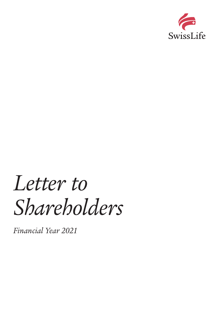

# *Letter to Shareholders*

*Financial Year 2021*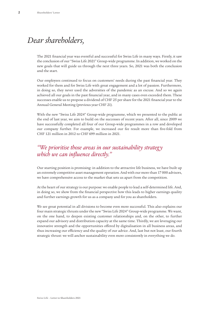### *Dear shareholders,*

The 2021 financial year was eventful and successful for Swiss Life in many ways. Firstly, it saw the conclusion of our "Swiss Life 2021" Group-wide programme. In addition, we worked on the new goals that will guide us through the next three years. So, 2021 was both the conclusion and the start.

Our employees continued to focus on customers' needs during the past financial year. They worked for them and for Swiss Life with great engagement and a lot of passion. Furthermore, in doing so, they never used the adversities of the pandemic as an excuse. And so we again achieved all our goals in the past financial year, and in many cases even exceeded them. These successes enable us to propose a dividend of CHF 25 per share for the 2021 financial year to the Annual General Meeting (previous year CHF 21).

With the new "Swiss Life 2024" Group-wide programme, which we presented to the public at the end of last year, we aim to build on the successes of recent years. After all, since 2009 we have successfully completed all four of our Group-wide programmes in a row and developed our company further. For example, we increased our fee result more than five-fold from CHF 121 million in 2012 to CHF 699 million in 2021.

### *"We prioritise those areas in our sustainability strategy which we can influence directly."*

Our starting position is promising: in addition to the attractive life business, we have built up an extremely competitive asset management operation. And with our more than 17 000 advisors, we have comprehensive access to the market that sets us apart from the competition.

At the heart of our strategy is our purpose: we enable people to lead a self-determined life. And, in doing so, we show from the financial perspective how this leads to higher earnings quality and further earnings growth for us as a company and for you as shareholders.

We see great potential in all divisions to become even more successful. This also explains our four main strategic thrusts under the new "Swiss Life 2024" Group-wide programme. We want, on the one hand, to deepen existing customer relationships and, on the other, to further expand our advisory and distribution capacity at the same time. Thirdly, we are leveraging our innovative strength and the opportunities offered by digitalisation in all business areas, and thus increasing our efficiency and the quality of our advice. And, last but not least, our fourth strategic thrust: we will anchor sustainability even more consistently in everything we do.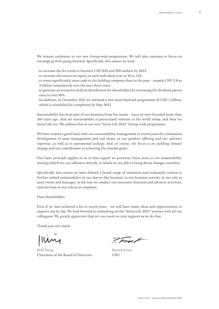We remain ambitious in our new Group-wide programme. We will also continue to focus on earnings growth going forward. Specifically, this means we want

–to increase the fee result to between CHF 850 and 900 million by 2024;

- –to increase the return on equity in each individual year to 10 to 12%;
- –to remit significantly more cash to the holding company than in the past namely CHF 2.8 to 3 billion cumulatively over the next three years;
- –to generate an attractive yield on distribution for shareholders by increasing the dividend payout ratio to over 60%.
- –In addition, in December 2021 we initiated a new share buyback programme of CHF 1 billion, which is scheduled for completion by May 2023.

Sustainability has been part of our business from the outset – since we were founded more than 160 years ago. And yet sustainability is particularly relevant in the world today, and thus for Swiss Life too. We address this in our new "Swiss Life 2024" Group-wide programme.

We have created a good basis with our sustainability management in recent years for continuous development in asset management and real estate, in our product offering and our advisory expertise, as well as in operational ecology. And, of course, the focus is on tackling climate change and our contribution to achieving the climate goals.

One basic principle applies to us in that regard: we prioritise those areas in our sustainability strategy which we can influence directly, in which we are able to bring about changes ourselves.

Specifically, this means we have defined a broad range of initiatives and evaluation criteria to further embed sustainability in our day-to-day business: in our business activity, in our role as asset owner and manager, in the way we conduct our insurance business and advisory activities, and not least in our role as an employer.

Dear shareholders

Even if we have achieved a lot in recent years – we still have many ideas and opportunities to improve day by day. We look forward to embarking on the "Swiss Life 2024" journey with all our colleagues. We greatly appreciate that we can count on your support as we do that.

Thank you very much

Imy

Rolf Dörig Chairman of the Board of Directors

P.Fm/

Patrick Frost  $CFO$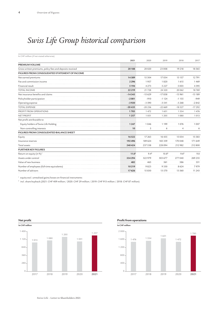### *Swiss Life Group historical comparison*

| In CHF million (if not stated otherwise)                  |                   |           |                   |                  |          |
|-----------------------------------------------------------|-------------------|-----------|-------------------|------------------|----------|
|                                                           | 2021              | 2020      | 2019              | 2018             | 2017     |
| <b>PREMIUM VOLUME</b>                                     |                   |           |                   |                  |          |
| Gross written premiums, policy fees and deposits received | 20188             | 20 0 20   | 23 008            | 19 218           | 18565    |
| FIGURES FROM CONSOLIDATED STATEMENT OF INCOME             |                   |           |                   |                  |          |
| Net earned premiums                                       | 14389             | 15 3 0 4  | 17034             | 13 157           | 12791    |
| Fee and commission income                                 | 2296              | 1957      | 1820              | 1615             | 1469     |
| Financial result                                          | 5194              | 4 2 7 3   | 5 2 2 7           | 5003             | 4395     |
| <b>TOTAL INCOME</b>                                       | 22 2 19           | 21728     | 24 3 20           | 20 062           | 18769    |
| Net insurance benefits and claims                         | $-14343$          | $-15629$  | $-17838$          | $-13961$         | $-13189$ |
| Policyholder participation                                | $-2001$           | $-910$    | $-1124$           | $-1155$          | $-949$   |
| Operating expense                                         | $-3920$           | $-3590$   | $-3541$           | $-3268$          | $-2842$  |
| <b>TOTAL EXPENSE</b>                                      | $-20435$          | $-20256$  | $-22669$          | $-18527$         | $-17292$ |
| PROFIT FROM OPERATIONS                                    | 1783              | 1472      | 1651              | 1 5 3 4          | 1476     |
| <b>NET PROFIT</b>                                         | 1257              | 1051      | 1 2 0 5           | 1080             | 1013     |
| Net profit attributable to                                |                   |           |                   |                  |          |
| Equity holders of Swiss Life Holding                      | 1 2 4 7           | 1046      | 1 1 9 9           | 1076             | 1007     |
| Non-controlling interests                                 | 10                | 5         | 6                 | $\overline{4}$   | 6        |
| FIGURES FROM CONSOLIDATED BALANCE SHEET                   |                   |           |                   |                  |          |
| Equity                                                    | 16522             | 17 26 3   | 16 4 35           | 15 0 34          | 15 5 8 3 |
| Insurance reserves                                        | 192496            | 189 624   | 183 339           | 170 048          | 171 649  |
| Total assets                                              | 240424            | 237 538   | 228 094           | 212 982          | 212 800  |
| <b>FURTHER KEY FIGURES</b>                                |                   |           |                   |                  |          |
| Return on equity (in %) <sup>1</sup>                      | 11.0 <sup>2</sup> | $9.4^{2}$ | 10.8 <sup>2</sup> | 9.6 <sup>2</sup> | 9.8      |
| Assets under control                                      | 334 294           | 322 979   | 303 677           | 277040           | 269 255  |
| Value of new business                                     | 482               | 465       | 561               | 386              | 351      |
| Number of employees (full-time equivalents)               | 10219             | 9823      | 9330              | 8624             | 7979     |
| Number of advisors                                        | 17626             | 15830     | 13 570            | 13 5 6 0         | 11 243   |

 $^{\rm 1}$  equity excl. unrealised gains/losses on financial instruments

<sup>2</sup> incl. share buyback (2021: CHF 409 million / 2020: CHF 29 million / 2019: CHF 913 million / 2018: CHF 87 million)



#### **Profit from operations**

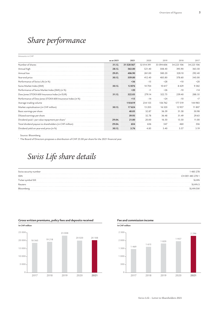### *Share performance*

Amounts in CHF

|                                                            | as at 2021 | 2021       | 2020       | 2019       | 2018       | 2017       |
|------------------------------------------------------------|------------|------------|------------|------------|------------|------------|
| Number of shares                                           | 31.12.     | 31 528 567 | 32 014 391 | 33 594 606 | 34 223 106 | 34 223 106 |
| Annual high                                                | 28.12.     | 563.00     | 521.40     | 508.40     | 395.90     | 363.50     |
| Annual low                                                 | 29.01.     | 406.90     | 261.00     | 380.20     | 328.10     | 292.40     |
| Year-end price                                             | 30.12.     | 559.00     | 412.40     | 485.80     | 378.60     | 345.00     |
| Performance of Swiss Life (in %)                           |            | $+36$      | $-15$      | $+28$      | $+10$      | $+20$      |
| Swiss Market Index (SMI)                                   | 30.12.     | 12876      | 10704      | 10 617     | 8429       | 9382       |
| Performance of Swiss Market Index (SMI) (in %)             |            | $+20$      | $+1$       | $+26$      | $-10$      | $+14$      |
| Dow Jones STOXX 600 Insurance Index (in EUR)               | 31.12.     | 322.03     | 279.14     | 322.75     | 259.40     | 288.35     |
| Performance of Dow Jones STOXX 600 Insurance Index (in %)  |            | $+15$      | $-14$      | $+24$      | $-10$      | $+7$       |
| Average trading volume                                     |            | 118619     | 234 155    | 156 762    | 177 519    | 144983     |
| Market capitalisation (in CHF million)                     | 30.12.     | 17624      | 13 20 3    | 16 3 20    | 12957      | 11 807     |
| Basic earnings per share                                   |            | 40.05      | 32.87      | 36.59      | 31.58      | 30.98      |
| Diluted earnings per share                                 |            | 39.93      | 32.78      | 36.48      | 31.49      | 29.63      |
| Dividend paid / par value repayment per share <sup>1</sup> | 29.04.     | 21.00      | 20.00      | 16.50      | 13.50      | 11.00      |
| Total dividend payout to shareholders (in CHF million)     | 29.04.     | 654        | 636        | 547        | 460        | 356        |
| Dividend yield on year-end price (in %)                    | 30.12.     | 3.76       | 4.85       | 3.40       | 3.57       | 3.19       |

Source: Bloomberg

<sup>1</sup> The Board of Directors proposes a distribution of CHF 25.00 per share for the 2021 financial year.

### *Swiss Life share details*

| 485 278          |
|------------------|
| CH 001 485 278 1 |
| SLHN             |
| SLHN.S           |
| SLHN SW          |
|                  |



#### **Gross written premiums, policy fees and deposits received**

#### **Fee and commission income**

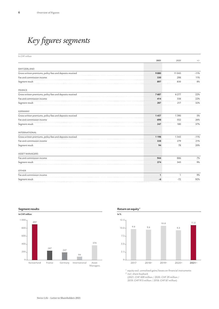## *Key figures segments*

| 2021<br>2020<br>$^{+/-}$<br>Gross written premiums, policy fees and deposits received<br>9880<br>11 0 45<br>$-11%$<br>Fee and commission income<br>298<br>11%<br>330<br>$8\%$<br>897<br>830<br>Gross written premiums, policy fees and deposits received<br>7687<br>6 2 7 7<br>22%<br>Fee and commission income<br>22%<br>414<br>338<br>217<br>32%<br>287<br>Gross written premiums, policy fees and deposits received<br>1390<br>5%<br>1457<br>Fee and commission income<br>26%<br>698<br>552<br>180<br>37%<br>247<br>1198<br>1343<br>$-11%$<br>Fee and commission income<br>338<br>279<br>21%<br>20%<br>78<br>94<br><b>ASSET MANAGERS</b><br>Fee and commission income<br>944<br>886<br>7%<br>9%<br>374<br>345<br><b>OTHER</b><br>Fee and commission income<br>9%<br>$\mathbf{1}$<br>$\mathbf{1}$<br>92%<br>$-72$<br>-6 | In CHF million                                            |  |  |
|---------------------------------------------------------------------------------------------------------------------------------------------------------------------------------------------------------------------------------------------------------------------------------------------------------------------------------------------------------------------------------------------------------------------------------------------------------------------------------------------------------------------------------------------------------------------------------------------------------------------------------------------------------------------------------------------------------------------------------------------------------------------------------------------------------------------------|-----------------------------------------------------------|--|--|
|                                                                                                                                                                                                                                                                                                                                                                                                                                                                                                                                                                                                                                                                                                                                                                                                                           |                                                           |  |  |
|                                                                                                                                                                                                                                                                                                                                                                                                                                                                                                                                                                                                                                                                                                                                                                                                                           |                                                           |  |  |
|                                                                                                                                                                                                                                                                                                                                                                                                                                                                                                                                                                                                                                                                                                                                                                                                                           | SWITZERLAND                                               |  |  |
|                                                                                                                                                                                                                                                                                                                                                                                                                                                                                                                                                                                                                                                                                                                                                                                                                           |                                                           |  |  |
|                                                                                                                                                                                                                                                                                                                                                                                                                                                                                                                                                                                                                                                                                                                                                                                                                           |                                                           |  |  |
|                                                                                                                                                                                                                                                                                                                                                                                                                                                                                                                                                                                                                                                                                                                                                                                                                           | Segment result                                            |  |  |
|                                                                                                                                                                                                                                                                                                                                                                                                                                                                                                                                                                                                                                                                                                                                                                                                                           | FRANCE                                                    |  |  |
|                                                                                                                                                                                                                                                                                                                                                                                                                                                                                                                                                                                                                                                                                                                                                                                                                           |                                                           |  |  |
|                                                                                                                                                                                                                                                                                                                                                                                                                                                                                                                                                                                                                                                                                                                                                                                                                           |                                                           |  |  |
|                                                                                                                                                                                                                                                                                                                                                                                                                                                                                                                                                                                                                                                                                                                                                                                                                           | Segment result                                            |  |  |
|                                                                                                                                                                                                                                                                                                                                                                                                                                                                                                                                                                                                                                                                                                                                                                                                                           | <b>GERMANY</b>                                            |  |  |
|                                                                                                                                                                                                                                                                                                                                                                                                                                                                                                                                                                                                                                                                                                                                                                                                                           |                                                           |  |  |
|                                                                                                                                                                                                                                                                                                                                                                                                                                                                                                                                                                                                                                                                                                                                                                                                                           |                                                           |  |  |
|                                                                                                                                                                                                                                                                                                                                                                                                                                                                                                                                                                                                                                                                                                                                                                                                                           | Segment result                                            |  |  |
|                                                                                                                                                                                                                                                                                                                                                                                                                                                                                                                                                                                                                                                                                                                                                                                                                           | <b>INTERNATIONAL</b>                                      |  |  |
|                                                                                                                                                                                                                                                                                                                                                                                                                                                                                                                                                                                                                                                                                                                                                                                                                           | Gross written premiums, policy fees and deposits received |  |  |
|                                                                                                                                                                                                                                                                                                                                                                                                                                                                                                                                                                                                                                                                                                                                                                                                                           |                                                           |  |  |
|                                                                                                                                                                                                                                                                                                                                                                                                                                                                                                                                                                                                                                                                                                                                                                                                                           | Segment result                                            |  |  |
|                                                                                                                                                                                                                                                                                                                                                                                                                                                                                                                                                                                                                                                                                                                                                                                                                           |                                                           |  |  |
|                                                                                                                                                                                                                                                                                                                                                                                                                                                                                                                                                                                                                                                                                                                                                                                                                           |                                                           |  |  |
|                                                                                                                                                                                                                                                                                                                                                                                                                                                                                                                                                                                                                                                                                                                                                                                                                           | Segment result                                            |  |  |
|                                                                                                                                                                                                                                                                                                                                                                                                                                                                                                                                                                                                                                                                                                                                                                                                                           |                                                           |  |  |
|                                                                                                                                                                                                                                                                                                                                                                                                                                                                                                                                                                                                                                                                                                                                                                                                                           |                                                           |  |  |
|                                                                                                                                                                                                                                                                                                                                                                                                                                                                                                                                                                                                                                                                                                                                                                                                                           | Segment result                                            |  |  |



#### $12.5 -$ Return on equity<sup>1</sup> **In %**   $\overline{0}$  $10.0 -$ 7.5  $2.5 -$ 5.0 9.8 9.6 10.8 9.4 11.0

<sup>1</sup> equity excl. unrealised gains/losses on financial instruments

2019 2

2020 2

**2021 2**

<sup>2</sup> incl. share buyback

2018 2

2017

(2021: CHF 409 million / 2020: CHF 29 million /

2019: CHF 913 million / 2018: CHF 87 million)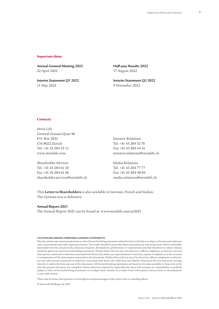#### **Important dates**

**Annual General Meeting 2022** 22 April 2022

**Interim Statement Q1 2022** 11 May 2022

**Half-year Results 2022** 17 August 2022

**Interim Statement Q3 2022** 9 November 2022

#### **Contacts**

Swiss Life General-Guisan-Quai 40 P.O. Box 2831 CH-8022 Zurich Tel. +41 43 284 33 11 www.swisslife.com

Shareholder Services Tel. +41 43 284 61 10 Fax +41 43 284 61 66 shareholder.services@swisslife.ch Investor Relations Tel. +41 43 284 52 76 Fax +41 43 284 44 41 investor.relations@swisslife.ch

Media Relations Tel. +41 43 284 77 77 Fax +41 43 284 48 84 media.relations@swisslife.ch

This **Letter to Shareholders** is also available in German, French and Italian. The German text is definitive.

#### **Annual Report 2021**

The Annual Report 2021 can be found at: www.swisslife.com/ar2021

#### **CAUTION REGARDING FORWARD-LOOKING STATEMENTS**

This document may contain projections or other forward-looking statements related to Swiss Life that are subject to known and unknown risks, uncertainties and other important factors. The reader should be aware that these statements are only projections which could differ materially from the actual results, financial situation, development, performance or expectations and that therefore no undue reliance should be placed on such forward-looking statements. Neither Swiss Life nor any of its directors, officers, employees or advisors, nor any other person connected or otherwise associated with Swiss Life, makes any representation or warranty, express or implied, as to the accuracy or completeness of the information contained in this document. Neither Swiss Life nor any of its directors, officers, employees or advisors, nor any other person connected or otherwise associated with Swiss Life, shall have any liability whatsoever for loss howsoever arising, directly or indirectly, from any use of this document. All forward-looking statements are based on the data available to Swiss Life at the time the present document was compiled. Unless otherwise required by applicable law, Swiss Life assumes no responsibility to publicly update or alter its forward-looking statements or to adapt them, whether as a result of new information, future events or developments or any other reason.

There may be minor discrepancies in total figures and percentages in this report due to rounding effects.

© Swiss Life Holding Ltd, 2022